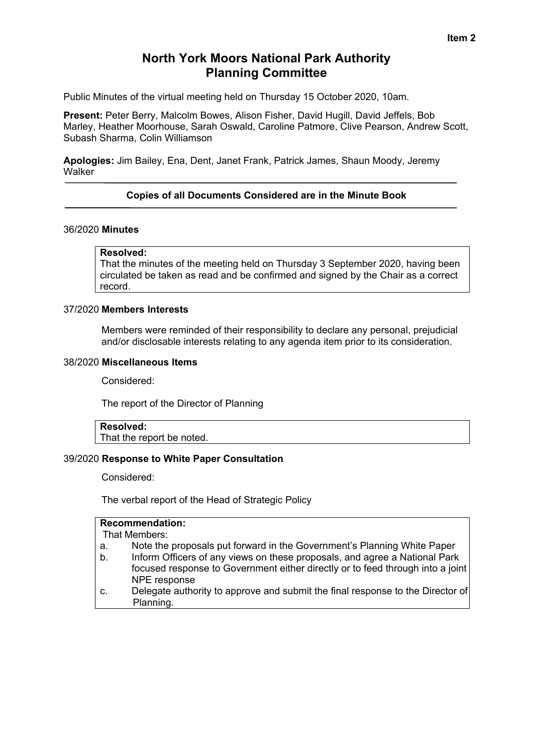# **North York Moors National Park Authority Planning Committee**

Public Minutes of the virtual meeting held on Thursday 15 October 2020, 10am.

**Present:** Peter Berry, Malcolm Bowes, Alison Fisher, David Hugill, David Jeffels, Bob Marley, Heather Moorhouse, Sarah Oswald, Caroline Patmore, Clive Pearson, Andrew Scott, Subash Sharma, Colin Williamson

**Apologies:** Jim Bailey, Ena, Dent, Janet Frank, Patrick James, Shaun Moody, Jeremy **Walker** 

### **Copies of all Documents Considered are in the Minute Book**

#### 36/2020 **Minutes**

#### **Resolved:**

That the minutes of the meeting held on Thursday 3 September 2020, having been circulated be taken as read and be confirmed and signed by the Chair as a correct record.

#### 37/2020 **Members Interests**

Members were reminded of their responsibility to declare any personal, prejudicial and/or disclosable interests relating to any agenda item prior to its consideration.

#### 38/2020 **Miscellaneous Items**

Considered:

The report of the Director of Planning

## **Resolved:**

That the report be noted.

#### 39/2020 **Response to White Paper Consultation**

Considered:

The verbal report of the Head of Strategic Policy

### **Recommendation:**

That Members:

- a. Note the proposals put forward in the Government's Planning White Paper
- b. Inform Officers of any views on these proposals, and agree a National Park focused response to Government either directly or to feed through into a joint NPE response
- c. Delegate authority to approve and submit the final response to the Director of Planning.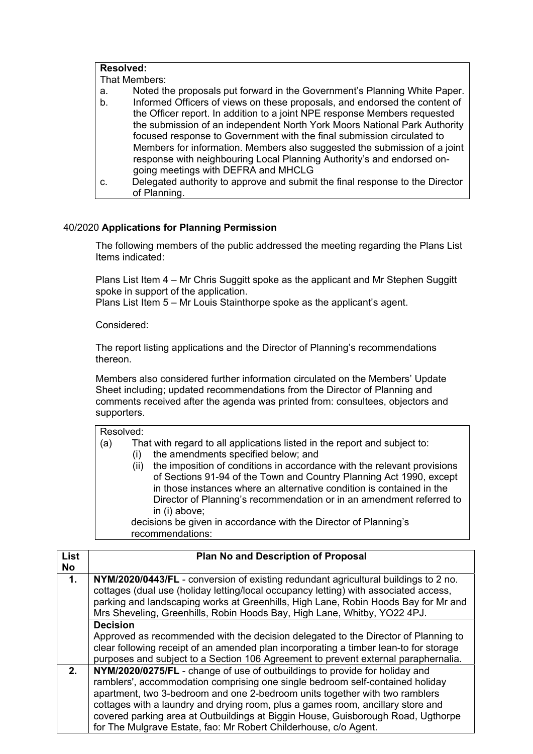| <b>Resolved:</b> |                                                                              |  |
|------------------|------------------------------------------------------------------------------|--|
| That Members:    |                                                                              |  |
| а.               | Noted the proposals put forward in the Government's Planning White Paper.    |  |
| b.               | Informed Officers of views on these proposals, and endorsed the content of   |  |
|                  | the Officer report. In addition to a joint NPE response Members requested    |  |
|                  | the submission of an independent North York Moors National Park Authority    |  |
|                  | focused response to Government with the final submission circulated to       |  |
|                  | Members for information. Members also suggested the submission of a joint    |  |
|                  | response with neighbouring Local Planning Authority's and endorsed on-       |  |
|                  | going meetings with DEFRA and MHCLG                                          |  |
| C.               | Delegated authority to approve and submit the final response to the Director |  |
|                  | of Planning.                                                                 |  |

### 40/2020 **Applications for Planning Permission**

 The following members of the public addressed the meeting regarding the Plans List Items indicated:

 Plans List Item 4 – Mr Chris Suggitt spoke as the applicant and Mr Stephen Suggitt spoke in support of the application.

Plans List Item 5 – Mr Louis Stainthorpe spoke as the applicant's agent.

Considered:

The report listing applications and the Director of Planning's recommendations thereon.

Members also considered further information circulated on the Members' Update Sheet including; updated recommendations from the Director of Planning and comments received after the agenda was printed from: consultees, objectors and supporters.

| Resolved: |  |
|-----------|--|
|-----------|--|

(a) That with regard to all applications listed in the report and subject to:

- (i) the amendments specified below; and
- (ii) the imposition of conditions in accordance with the relevant provisions of Sections 91-94 of the Town and Country Planning Act 1990, except in those instances where an alternative condition is contained in the Director of Planning's recommendation or in an amendment referred to in (i) above;

 decisions be given in accordance with the Director of Planning's recommendations:

| <b>List</b><br><b>No</b> | <b>Plan No and Description of Proposal</b>                                                                                                                                                                                                                                                                                                                                                                                                                                             |
|--------------------------|----------------------------------------------------------------------------------------------------------------------------------------------------------------------------------------------------------------------------------------------------------------------------------------------------------------------------------------------------------------------------------------------------------------------------------------------------------------------------------------|
| $\mathbf{1}$ .           | NYM/2020/0443/FL - conversion of existing redundant agricultural buildings to 2 no.<br>cottages (dual use (holiday letting/local occupancy letting) with associated access,<br>parking and landscaping works at Greenhills, High Lane, Robin Hoods Bay for Mr and<br>Mrs Sheveling, Greenhills, Robin Hoods Bay, High Lane, Whitby, YO22 4PJ.                                                                                                                                          |
|                          | <b>Decision</b>                                                                                                                                                                                                                                                                                                                                                                                                                                                                        |
|                          | Approved as recommended with the decision delegated to the Director of Planning to<br>clear following receipt of an amended plan incorporating a timber lean-to for storage<br>purposes and subject to a Section 106 Agreement to prevent external paraphernalia.                                                                                                                                                                                                                      |
| 2.                       | NYM/2020/0275/FL - change of use of outbuildings to provide for holiday and<br>ramblers', accommodation comprising one single bedroom self-contained holiday<br>apartment, two 3-bedroom and one 2-bedroom units together with two ramblers<br>cottages with a laundry and drying room, plus a games room, ancillary store and<br>covered parking area at Outbuildings at Biggin House, Guisborough Road, Ugthorpe<br>for The Mulgrave Estate, fao: Mr Robert Childerhouse, c/o Agent. |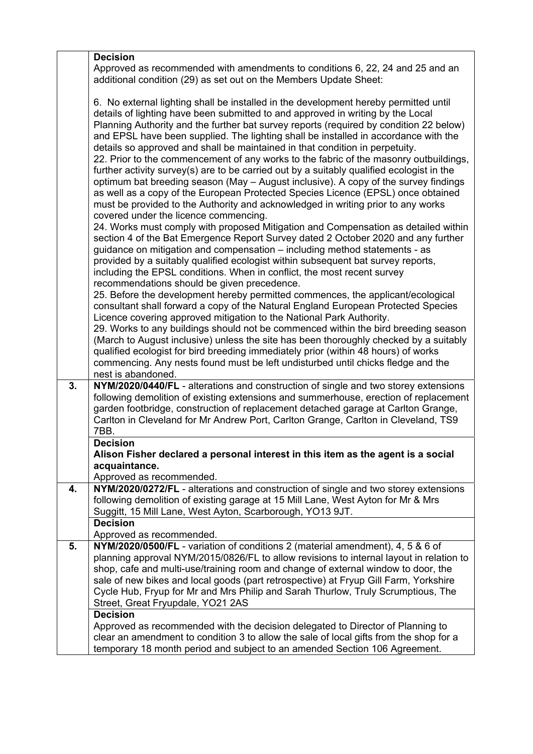|    | <b>Decision</b>                                                                                                                                                           |
|----|---------------------------------------------------------------------------------------------------------------------------------------------------------------------------|
|    | Approved as recommended with amendments to conditions 6, 22, 24 and 25 and an                                                                                             |
|    | additional condition (29) as set out on the Members Update Sheet:                                                                                                         |
|    |                                                                                                                                                                           |
|    | 6. No external lighting shall be installed in the development hereby permitted until                                                                                      |
|    | details of lighting have been submitted to and approved in writing by the Local                                                                                           |
|    | Planning Authority and the further bat survey reports (required by condition 22 below)                                                                                    |
|    | and EPSL have been supplied. The lighting shall be installed in accordance with the                                                                                       |
|    | details so approved and shall be maintained in that condition in perpetuity.                                                                                              |
|    | 22. Prior to the commencement of any works to the fabric of the masonry outbuildings,                                                                                     |
|    | further activity survey(s) are to be carried out by a suitably qualified ecologist in the                                                                                 |
|    | optimum bat breeding season (May - August inclusive). A copy of the survey findings                                                                                       |
|    | as well as a copy of the European Protected Species Licence (EPSL) once obtained                                                                                          |
|    | must be provided to the Authority and acknowledged in writing prior to any works                                                                                          |
|    | covered under the licence commencing.                                                                                                                                     |
|    | 24. Works must comply with proposed Mitigation and Compensation as detailed within                                                                                        |
|    | section 4 of the Bat Emergence Report Survey dated 2 October 2020 and any further                                                                                         |
|    | guidance on mitigation and compensation – including method statements - as                                                                                                |
|    | provided by a suitably qualified ecologist within subsequent bat survey reports,                                                                                          |
|    | including the EPSL conditions. When in conflict, the most recent survey                                                                                                   |
|    | recommendations should be given precedence.                                                                                                                               |
|    | 25. Before the development hereby permitted commences, the applicant/ecological                                                                                           |
|    | consultant shall forward a copy of the Natural England European Protected Species                                                                                         |
|    | Licence covering approved mitigation to the National Park Authority.                                                                                                      |
|    | 29. Works to any buildings should not be commenced within the bird breeding season                                                                                        |
|    | (March to August inclusive) unless the site has been thoroughly checked by a suitably                                                                                     |
|    | qualified ecologist for bird breeding immediately prior (within 48 hours) of works                                                                                        |
|    | commencing. Any nests found must be left undisturbed until chicks fledge and the                                                                                          |
|    | nest is abandoned.                                                                                                                                                        |
| 3. | NYM/2020/0440/FL - alterations and construction of single and two storey extensions                                                                                       |
|    | following demolition of existing extensions and summerhouse, erection of replacement                                                                                      |
|    | garden footbridge, construction of replacement detached garage at Carlton Grange,                                                                                         |
|    | Carlton in Cleveland for Mr Andrew Port, Carlton Grange, Carlton in Cleveland, TS9                                                                                        |
|    | 7BB.                                                                                                                                                                      |
|    | <b>Decision</b>                                                                                                                                                           |
|    | Alison Fisher declared a personal interest in this item as the agent is a social                                                                                          |
|    | acquaintance.                                                                                                                                                             |
|    | Approved as recommended.                                                                                                                                                  |
| 4. | NYM/2020/0272/FL - alterations and construction of single and two storey extensions                                                                                       |
|    | following demolition of existing garage at 15 Mill Lane, West Ayton for Mr & Mrs                                                                                          |
|    | Suggitt, 15 Mill Lane, West Ayton, Scarborough, YO13 9JT.                                                                                                                 |
|    | <b>Decision</b>                                                                                                                                                           |
|    | Approved as recommended.                                                                                                                                                  |
| 5. | NYM/2020/0500/FL - variation of conditions 2 (material amendment), 4, 5 & 6 of<br>planning approval NYM/2015/0826/FL to allow revisions to internal layout in relation to |
|    | shop, cafe and multi-use/training room and change of external window to door, the                                                                                         |
|    | sale of new bikes and local goods (part retrospective) at Fryup Gill Farm, Yorkshire                                                                                      |
|    | Cycle Hub, Fryup for Mr and Mrs Philip and Sarah Thurlow, Truly Scrumptious, The                                                                                          |
|    | Street, Great Fryupdale, YO21 2AS                                                                                                                                         |
|    | <b>Decision</b>                                                                                                                                                           |
|    | Approved as recommended with the decision delegated to Director of Planning to                                                                                            |
|    | clear an amendment to condition 3 to allow the sale of local gifts from the shop for a                                                                                    |
|    | temporary 18 month period and subject to an amended Section 106 Agreement.                                                                                                |